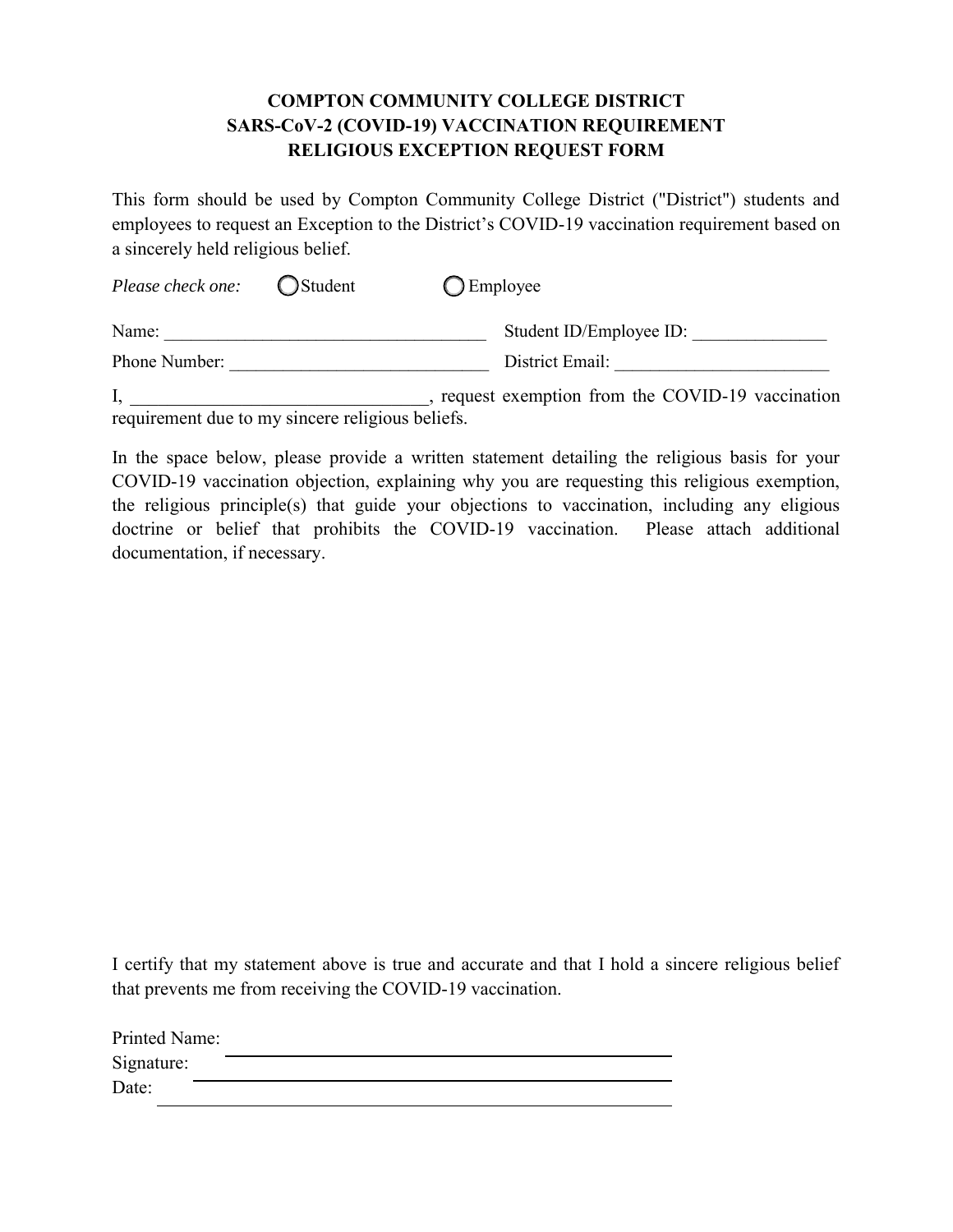## **COMPTON COMMUNITY COLLEGE DISTRICT SARS-CoV-2 (COVID-19) VACCINATION REQUIREMENT RELIGIOUS EXCEPTION REQUEST FORM**

This form should be used by Compton Community College District ("District") students and employees to request an Exception to the District's COVID-19 vaccination requirement based on a sincerely held religious belief.

| Please check one: | ◯Student | $\bigcirc$ Employee     |
|-------------------|----------|-------------------------|
| Name:             |          | Student ID/Employee ID: |
| Phone Number:     |          | District Email:         |
|                   |          |                         |

I, \_\_\_\_\_\_\_\_\_\_\_\_\_\_\_\_\_\_\_\_\_\_\_\_\_\_\_\_\_\_, request exemption from the COVID-19 vaccination requirement due to my sincere religious beliefs.

In the space below, please provide a written statement detailing the religious basis for your COVID-19 vaccination objection, explaining why you are requesting this religious exemption, the religious principle(s) that guide your objections to vaccination, including any eligious doctrine or belief that prohibits the COVID-19 vaccination. Please attach additional documentation, if necessary.

I certify that my statement above is true and accurate and that I hold a sincere religious belief that prevents me from receiving the COVID-19 vaccination.

| Printed Name: |  |
|---------------|--|
| Signature:    |  |
| Date:         |  |